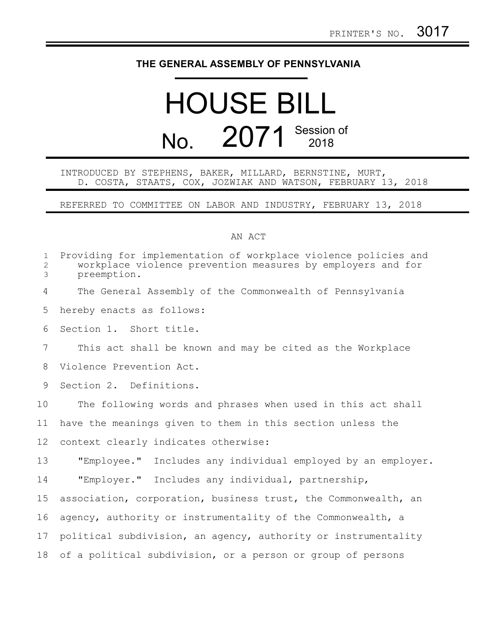## **THE GENERAL ASSEMBLY OF PENNSYLVANIA**

## HOUSE BILL No. 2071 Session of

## INTRODUCED BY STEPHENS, BAKER, MILLARD, BERNSTINE, MURT, D. COSTA, STAATS, COX, JOZWIAK AND WATSON, FEBRUARY 13, 2018

REFERRED TO COMMITTEE ON LABOR AND INDUSTRY, FEBRUARY 13, 2018

## AN ACT

| $\mathbf{1}$<br>$\overline{2}$<br>3 | Providing for implementation of workplace violence policies and<br>workplace violence prevention measures by employers and for<br>preemption. |
|-------------------------------------|-----------------------------------------------------------------------------------------------------------------------------------------------|
| 4                                   | The General Assembly of the Commonwealth of Pennsylvania                                                                                      |
| 5                                   | hereby enacts as follows:                                                                                                                     |
| 6                                   | Section 1. Short title.                                                                                                                       |
| $\overline{7}$                      | This act shall be known and may be cited as the Workplace                                                                                     |
| 8                                   | Violence Prevention Act.                                                                                                                      |
| 9                                   | Section 2. Definitions.                                                                                                                       |
| 10                                  | The following words and phrases when used in this act shall                                                                                   |
| 11                                  | have the meanings given to them in this section unless the                                                                                    |
| $12 \,$                             | context clearly indicates otherwise:                                                                                                          |
| 13                                  | "Employee." Includes any individual employed by an employer.                                                                                  |
| 14                                  | "Employer." Includes any individual, partnership,                                                                                             |
| 15                                  | association, corporation, business trust, the Commonwealth, an                                                                                |
| 16                                  | agency, authority or instrumentality of the Commonwealth, a                                                                                   |
| 17                                  | political subdivision, an agency, authority or instrumentality                                                                                |
| 18                                  | of a political subdivision, or a person or group of persons                                                                                   |
|                                     |                                                                                                                                               |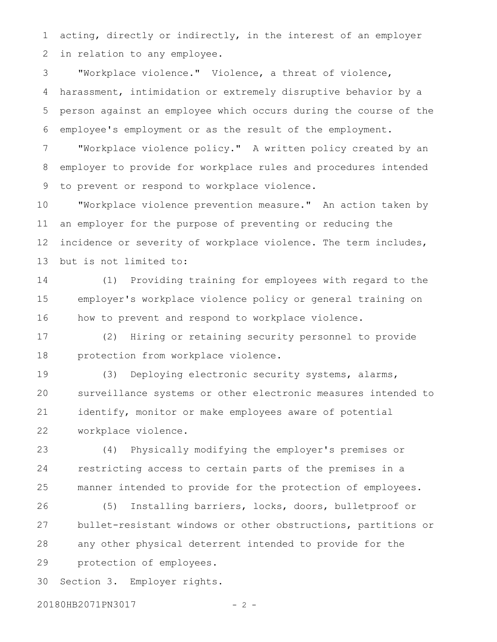acting, directly or indirectly, in the interest of an employer in relation to any employee. 1 2

"Workplace violence." Violence, a threat of violence, harassment, intimidation or extremely disruptive behavior by a person against an employee which occurs during the course of the employee's employment or as the result of the employment. 3 4 5 6

"Workplace violence policy." A written policy created by an employer to provide for workplace rules and procedures intended to prevent or respond to workplace violence. 7 8 9

"Workplace violence prevention measure." An action taken by an employer for the purpose of preventing or reducing the incidence or severity of workplace violence. The term includes, but is not limited to: 10 11 12 13

(1) Providing training for employees with regard to the employer's workplace violence policy or general training on how to prevent and respond to workplace violence. 14 15 16

(2) Hiring or retaining security personnel to provide protection from workplace violence. 17 18

(3) Deploying electronic security systems, alarms, surveillance systems or other electronic measures intended to identify, monitor or make employees aware of potential workplace violence. 19 20 21 22

(4) Physically modifying the employer's premises or restricting access to certain parts of the premises in a manner intended to provide for the protection of employees. 23 24 25

(5) Installing barriers, locks, doors, bulletproof or bullet-resistant windows or other obstructions, partitions or any other physical deterrent intended to provide for the protection of employees. 26 27 28 29

Section 3. Employer rights. 30

20180HB2071PN3017 - 2 -